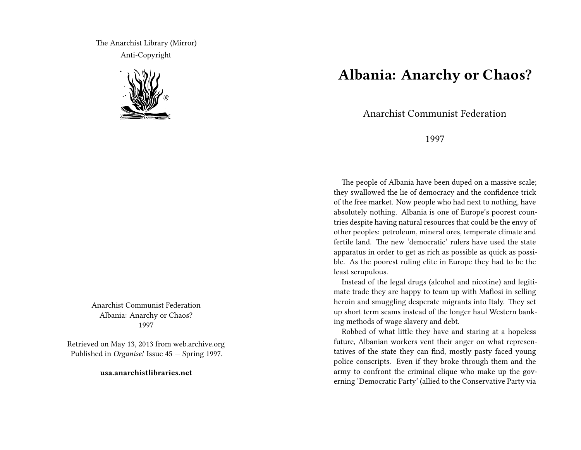The Anarchist Library (Mirror) Anti-Copyright



Anarchist Communist Federation Albania: Anarchy or Chaos? 1997

Retrieved on May 13, 2013 from web.archive.org Published in *Organise!* Issue 45 — Spring 1997.

**usa.anarchistlibraries.net**

## **Albania: Anarchy or Chaos?**

Anarchist Communist Federation

1997

The people of Albania have been duped on a massive scale; they swallowed the lie of democracy and the confidence trick of the free market. Now people who had next to nothing, have absolutely nothing. Albania is one of Europe's poorest countries despite having natural resources that could be the envy of other peoples: petroleum, mineral ores, temperate climate and fertile land. The new 'democratic' rulers have used the state apparatus in order to get as rich as possible as quick as possible. As the poorest ruling elite in Europe they had to be the least scrupulous.

Instead of the legal drugs (alcohol and nicotine) and legitimate trade they are happy to team up with Mafiosi in selling heroin and smuggling desperate migrants into Italy. They set up short term scams instead of the longer haul Western banking methods of wage slavery and debt.

Robbed of what little they have and staring at a hopeless future, Albanian workers vent their anger on what representatives of the state they can find, mostly pasty faced young police conscripts. Even if they broke through them and the army to confront the criminal clique who make up the governing 'Democratic Party' (allied to the Conservative Party via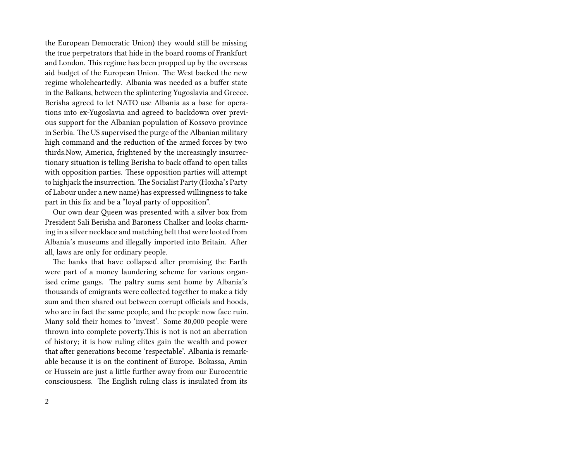the European Democratic Union) they would still be missing the true perpetrators that hide in the board rooms of Frankfurt and London. This regime has been propped up by the overseas aid budget of the European Union. The West backed the new regime wholeheartedly. Albania was needed as a buffer state in the Balkans, between the splintering Yugoslavia and Greece. Berisha agreed to let NATO use Albania as a base for operations into ex-Yugoslavia and agreed to backdown over previous support for the Albanian population of Kossovo province in Serbia. The US supervised the purge of the Albanian military high command and the reduction of the armed forces by two thirds.Now, America, frightened by the increasingly insurrectionary situation is telling Berisha to back offand to open talks with opposition parties. These opposition parties will attempt to highjack the insurrection. The Socialist Party (Hoxha's Party of Labour under a new name) has expressed willingness to take part in this fix and be a "loyal party of opposition".

Our own dear Queen was presented with a silver box from President Sali Berisha and Baroness Chalker and looks charming in a silver necklace and matching belt that were looted from Albania's museums and illegally imported into Britain. After all, laws are only for ordinary people.

The banks that have collapsed after promising the Earth were part of a money laundering scheme for various organised crime gangs. The paltry sums sent home by Albania's thousands of emigrants were collected together to make a tidy sum and then shared out between corrupt officials and hoods, who are in fact the same people, and the people now face ruin. Many sold their homes to 'invest'. Some 80,000 people were thrown into complete poverty.This is not is not an aberration of history; it is how ruling elites gain the wealth and power that after generations become 'respectable'. Albania is remarkable because it is on the continent of Europe. Bokassa, Amin or Hussein are just a little further away from our Eurocentric consciousness. The English ruling class is insulated from its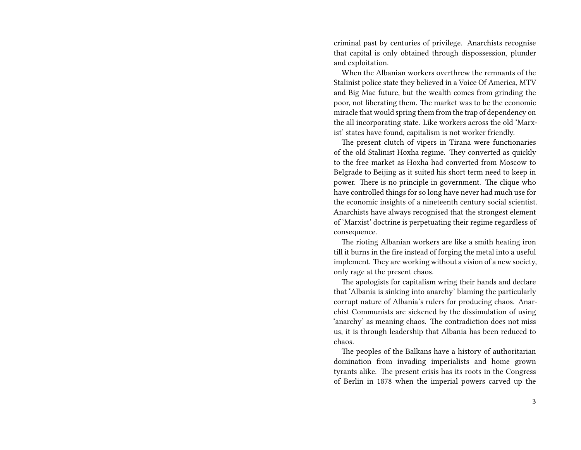criminal past by centuries of privilege. Anarchists recognise that capital is only obtained through dispossession, plunder and exploitation.

When the Albanian workers overthrew the remnants of the Stalinist police state they believed in a Voice Of America, MTV and Big Mac future, but the wealth comes from grinding the poor, not liberating them. The market was to be the economic miracle that would spring them from the trap of dependency on the all incorporating state. Like workers across the old 'Marxist' states have found, capitalism is not worker friendly.

The present clutch of vipers in Tirana were functionaries of the old Stalinist Hoxha regime. They converted as quickly to the free market as Hoxha had converted from Moscow to Belgrade to Beijing as it suited his short term need to keep in power. There is no principle in government. The clique who have controlled things for so long have never had much use for the economic insights of a nineteenth century social scientist. Anarchists have always recognised that the strongest element of 'Marxist' doctrine is perpetuating their regime regardless of consequence.

The rioting Albanian workers are like a smith heating iron till it burns in the fire instead of forging the metal into a useful implement. They are working without a vision of a new society, only rage at the present chaos.

The apologists for capitalism wring their hands and declare that 'Albania is sinking into anarchy' blaming the particularly corrupt nature of Albania's rulers for producing chaos. Anarchist Communists are sickened by the dissimulation of using 'anarchy' as meaning chaos. The contradiction does not miss us, it is through leadership that Albania has been reduced to chaos.

The peoples of the Balkans have a history of authoritarian domination from invading imperialists and home grown tyrants alike. The present crisis has its roots in the Congress of Berlin in 1878 when the imperial powers carved up the